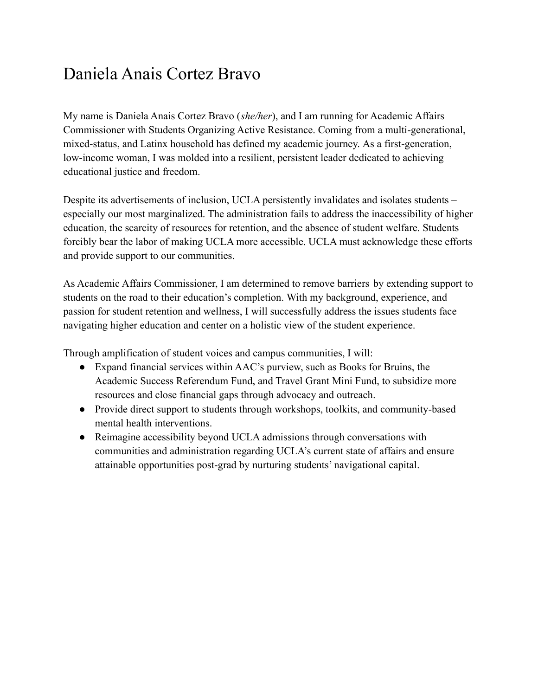## Daniela Anais Cortez Bravo

My name is Daniela Anais Cortez Bravo (*she/her*), and I am running for Academic Affairs Commissioner with Students Organizing Active Resistance. Coming from a multi-generational, mixed-status, and Latinx household has defined my academic journey. As a first-generation, low-income woman, I was molded into a resilient, persistent leader dedicated to achieving educational justice and freedom.

Despite its advertisements of inclusion, UCLA persistently invalidates and isolates students – especially our most marginalized. The administration fails to address the inaccessibility of higher education, the scarcity of resources for retention, and the absence of student welfare. Students forcibly bear the labor of making UCLA more accessible. UCLA must acknowledge these efforts and provide support to our communities.

As Academic Affairs Commissioner, I am determined to remove barriers by extending support to students on the road to their education's completion. With my background, experience, and passion for student retention and wellness, I will successfully address the issues students face navigating higher education and center on a holistic view of the student experience.

Through amplification of student voices and campus communities, I will:

- Expand financial services within AAC's purview, such as Books for Bruins, the Academic Success Referendum Fund, and Travel Grant Mini Fund, to subsidize more resources and close financial gaps through advocacy and outreach.
- Provide direct support to students through workshops, toolkits, and community-based mental health interventions.
- Reimagine accessibility beyond UCLA admissions through conversations with communities and administration regarding UCLA's current state of affairs and ensure attainable opportunities post-grad by nurturing students' navigational capital.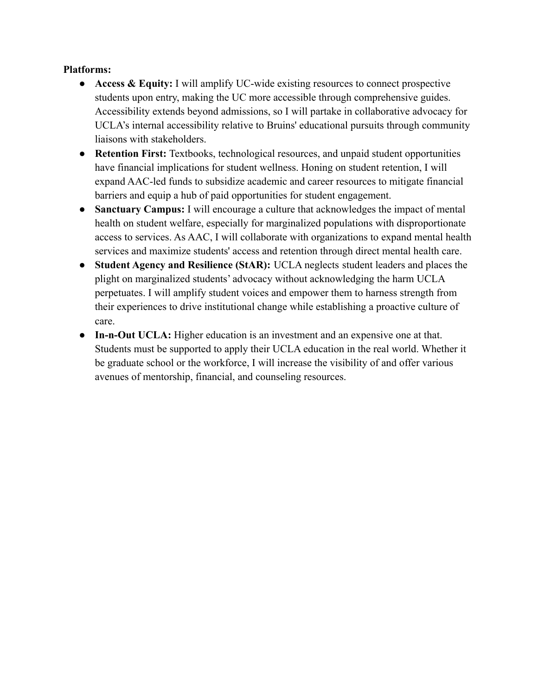## **Platforms:**

- **● Access & Equity:** I will amplify UC-wide existing resources to connect prospective students upon entry, making the UC more accessible through comprehensive guides. Accessibility extends beyond admissions, so I will partake in collaborative advocacy for UCLA's internal accessibility relative to Bruins' educational pursuits through community liaisons with stakeholders.
- **● Retention First:** Textbooks, technological resources, and unpaid student opportunities have financial implications for student wellness. Honing on student retention, I will expand AAC-led funds to subsidize academic and career resources to mitigate financial barriers and equip a hub of paid opportunities for student engagement.
- **● Sanctuary Campus:** I will encourage a culture that acknowledges the impact of mental health on student welfare, especially for marginalized populations with disproportionate access to services. As AAC, I will collaborate with organizations to expand mental health services and maximize students' access and retention through direct mental health care.
- **● Student Agency and Resilience (StAR):** UCLA neglects student leaders and places the plight on marginalized students' advocacy without acknowledging the harm UCLA perpetuates. I will amplify student voices and empower them to harness strength from their experiences to drive institutional change while establishing a proactive culture of care.
- **In-n-Out UCLA:** Higher education is an investment and an expensive one at that. Students must be supported to apply their UCLA education in the real world. Whether it be graduate school or the workforce, I will increase the visibility of and offer various avenues of mentorship, financial, and counseling resources.